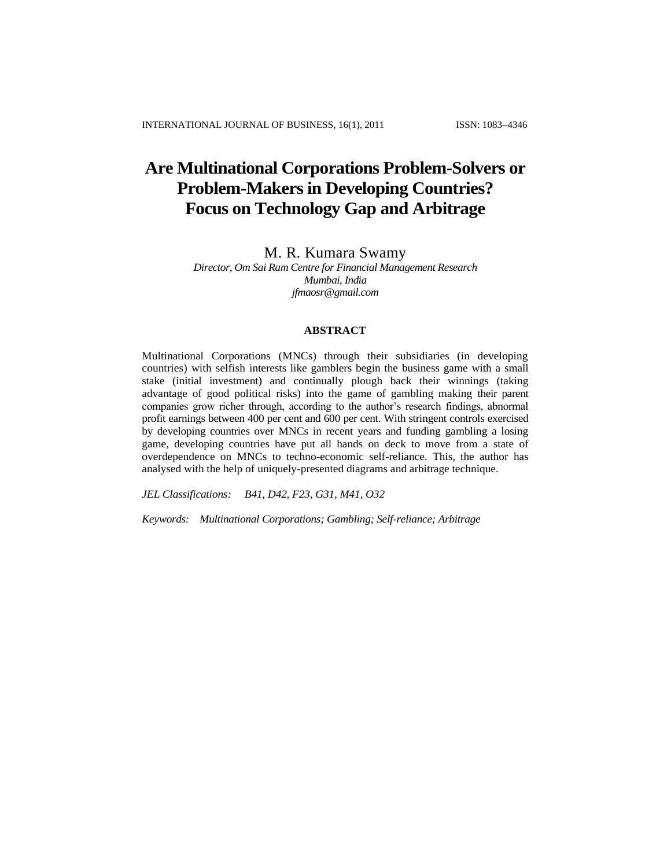# **Are Multinational Corporations Problem-Solvers or Problem-Makers in Developing Countries? Focus on Technology Gap and Arbitrage**

# M. R. Kumara Swamy

*Director, Om Sai Ram Centre for Financial Management Research Mumbai, India [jfmaosr@gmail.com](mailto:jfmaosr@gmail.com)*

# **ABSTRACT**

Multinational Corporations (MNCs) through their subsidiaries (in developing countries) with selfish interests like gamblers begin the business game with a small stake (initial investment) and continually plough back their winnings (taking advantage of good political risks) into the game of gambling making their parent companies grow richer through, according to the author"s research findings, abnormal profit earnings between 400 per cent and 600 per cent. With stringent controls exercised by developing countries over MNCs in recent years and funding gambling a losing game, developing countries have put all hands on deck to move from a state of overdependence on MNCs to techno-economic self-reliance. This, the author has analysed with the help of uniquely-presented diagrams and arbitrage technique.

*JEL Classifications: B41, D42, F23, G31, M41, O32*

*Keywords: Multinational Corporations; Gambling; Self-reliance; Arbitrage*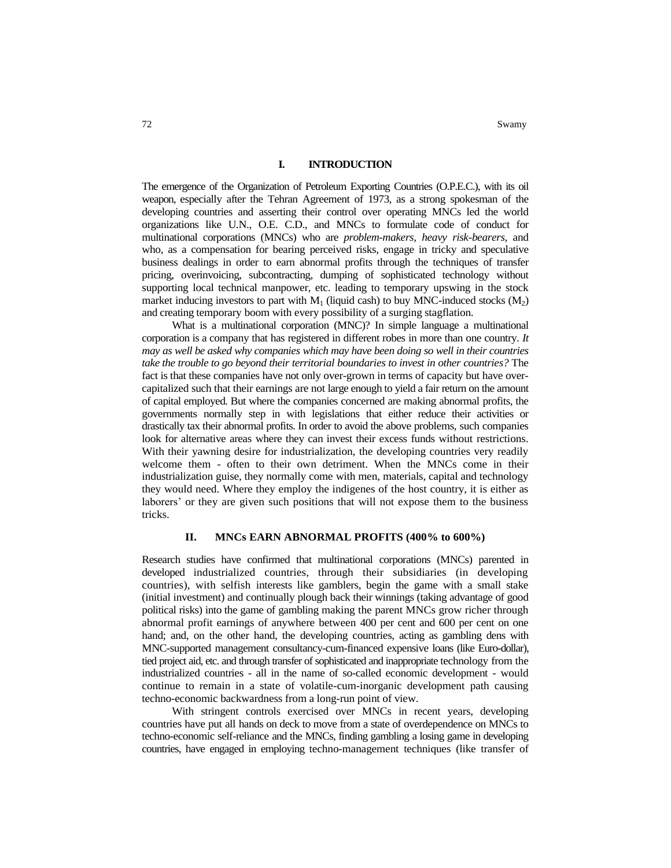## **I. INTRODUCTION**

The emergence of the Organization of Petroleum Exporting Countries (O.P.E.C.), with its oil weapon, especially after the Tehran Agreement of 1973, as a strong spokesman of the developing countries and asserting their control over operating MNCs led the world organizations like U.N., O.E. C.D., and MNCs to formulate code of conduct for multinational corporations (MNCs) who are *problem-makers, heavy risk-bearers,* and who, as a compensation for bearing perceived risks, engage in tricky and speculative business dealings in order to earn abnormal profits through the techniques of transfer pricing, overinvoicing, subcontracting, dumping of sophisticated technology without supporting local technical manpower, etc. leading to temporary upswing in the stock market inducing investors to part with  $M_1$  (liquid cash) to buy MNC-induced stocks  $(M_2)$ and creating temporary boom with every possibility of a surging stagflation.

What is a multinational corporation (MNC)? In simple language a multinational corporation is a company that has registered in different robes in more than one country. *It may as well be asked why companies which may have been doing so well in their countries take the trouble to go beyond their territorial boundaries to invest in other countries?* The fact is that these companies have not only over-grown in terms of capacity but have overcapitalized such that their earnings are not large enough to yield a fair return on the amount of capital employed. But where the companies concerned are making abnormal profits, the governments normally step in with legislations that either reduce their activities or drastically tax their abnormal profits. In order to avoid the above problems, such companies look for alternative areas where they can invest their excess funds without restrictions. With their yawning desire for industrialization, the developing countries very readily welcome them - often to their own detriment. When the MNCs come in their industrialization guise, they normally come with men, materials, capital and technology they would need. Where they employ the indigenes of the host country, it is either as laborers" or they are given such positions that will not expose them to the business tricks.

## **II. MNCs EARN ABNORMAL PROFITS (400% to 600%)**

Research studies have confirmed that multinational corporations (MNCs) parented in developed industrialized countries, through their subsidiaries (in developing countries), with selfish interests like gamblers, begin the game with a small stake (initial investment) and continually plough back their winnings (taking advantage of good political risks) into the game of gambling making the parent MNCs grow richer through abnormal profit earnings of anywhere between 400 per cent and 600 per cent on one hand; and, on the other hand, the developing countries, acting as gambling dens with MNC-supported management consultancy-cum-financed expensive loans (like Euro-dollar), tied project aid, etc. and through transfer of sophisticated and inappropriate technology from the industrialized countries - all in the name of so-called economic development - would continue to remain in a state of volatile-cum-inorganic development path causing techno-economic backwardness from a long-run point of view.

With stringent controls exercised over MNCs in recent years, developing countries have put all hands on deck to move from a state of overdependence on MNCs to techno-economic self-reliance and the MNCs, finding gambling a losing game in developing countries, have engaged in employing techno-management techniques (like transfer of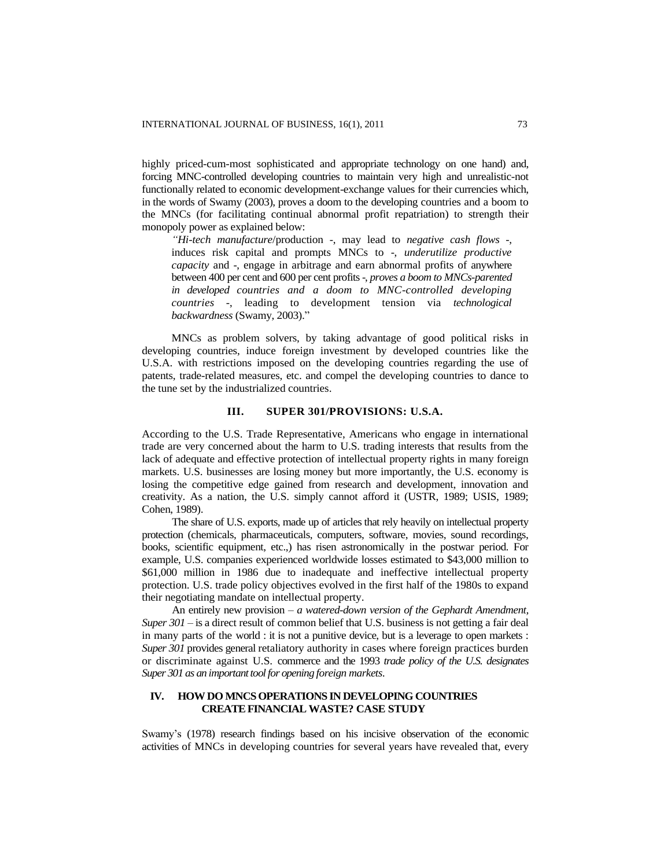highly priced-cum-most sophisticated and appropriate technology on one hand) and, forcing MNC-controlled developing countries to maintain very high and unrealistic-not functionally related to economic development-exchange values for their currencies which, in the words of Swamy (2003), proves a doom to the developing countries and a boom to the MNCs (for facilitating continual abnormal profit repatriation) to strength their monopoly power as explained below:

*"Hi-tech manufacture*/production -, may lead to *negative cash flows* -, induces risk capital and prompts MNCs to -, *underutilize productive capacity* and -, engage in arbitrage and earn abnormal profits of anywhere between 400 per cent and 600 per cent profits -, *proves a boom to MNCs-parented in developed countries and a doom to MNC-controlled developing countries* -, leading to development tension via *technological backwardness* (Swamy, 2003)."

MNCs as problem solvers, by taking advantage of good political risks in developing countries, induce foreign investment by developed countries like the U.S.A. with restrictions imposed on the developing countries regarding the use of patents, trade-related measures, etc. and compel the developing countries to dance to the tune set by the industrialized countries.

## **III. SUPER 301/PROVISIONS: U.S.A.**

According to the U.S. Trade Representative, Americans who engage in international trade are very concerned about the harm to U.S. trading interests that results from the lack of adequate and effective protection of intellectual property rights in many foreign markets. U.S. businesses are losing money but more importantly, the U.S. economy is losing the competitive edge gained from research and development, innovation and creativity. As a nation, the U.S. simply cannot afford it (USTR, 1989; USIS, 1989; Cohen, 1989).

The share of U.S. exports, made up of articles that rely heavily on intellectual property protection (chemicals, pharmaceuticals, computers, software, movies, sound recordings, books, scientific equipment, etc.,) has risen astronomically in the postwar period. For example, U.S. companies experienced worldwide losses estimated to \$43,000 million to \$61,000 million in 1986 due to inadequate and ineffective intellectual property protection. U.S. trade policy objectives evolved in the first half of the 1980s to expand their negotiating mandate on intellectual property.

An entirely new provision – *a watered-down version of the Gephardt Amendment, Super 301* – is a direct result of common belief that U.S. business is not getting a fair deal in many parts of the world : it is not a punitive device, but is a leverage to open markets : *Super 301* provides general retaliatory authority in cases where foreign practices burden or discriminate against U.S. commerce and the 1993 *trade policy of the U.S. designates Super 301 as an important tool for opening foreign markets*.

# **IV. HOW DO MNCS OPERATIONS IN DEVELOPING COUNTRIES CREATE FINANCIAL WASTE? CASE STUDY**

Swamy"s (1978) research findings based on his incisive observation of the economic activities of MNCs in developing countries for several years have revealed that, every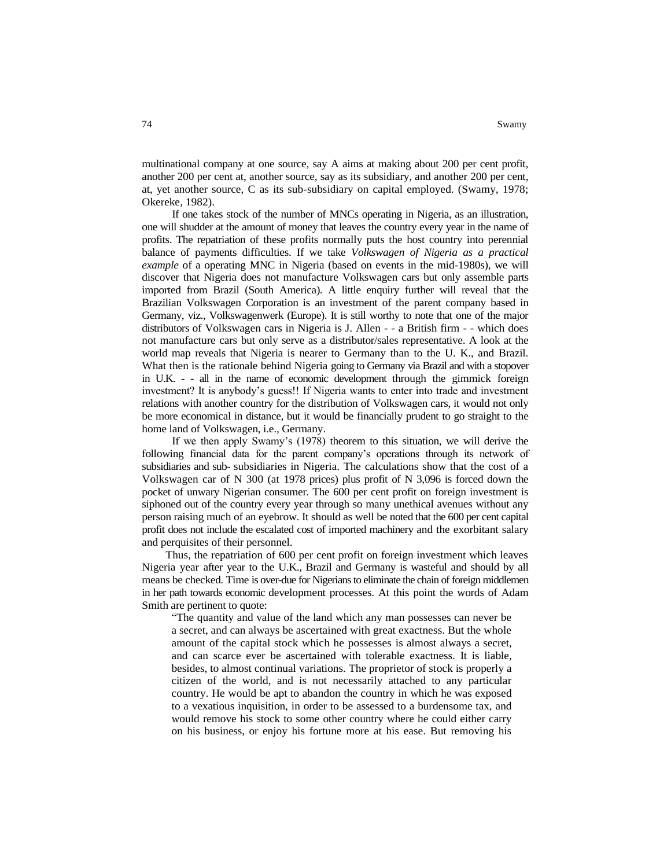multinational company at one source, say A aims at making about 200 per cent profit, another 200 per cent at, another source, say as its subsidiary, and another 200 per cent, at, yet another source, C as its sub-subsidiary on capital employed. (Swamy, 1978; Okereke, 1982).

If one takes stock of the number of MNCs operating in Nigeria, as an illustration, one will shudder at the amount of money that leaves the country every year in the name of profits. The repatriation of these profits normally puts the host country into perennial balance of payments difficulties. If we take *Volkswagen of Nigeria as a practical example* of a operating MNC in Nigeria (based on events in the mid-1980s), we will discover that Nigeria does not manufacture Volkswagen cars but only assemble parts imported from Brazil (South America). A little enquiry further will reveal that the Brazilian Volkswagen Corporation is an investment of the parent company based in Germany, viz., Volkswagenwerk (Europe). It is still worthy to note that one of the major distributors of Volkswagen cars in Nigeria is J. Allen - - a British firm - - which does not manufacture cars but only serve as a distributor/sales representative. A look at the world map reveals that Nigeria is nearer to Germany than to the U. K., and Brazil. What then is the rationale behind Nigeria going to Germany via Brazil and with a stopover in U.K. - - all in the name of economic development through the gimmick foreign investment? It is anybody"s guess!! If Nigeria wants to enter into trade and investment relations with another country for the distribution of Volkswagen cars, it would not only be more economical in distance, but it would be financially prudent to go straight to the home land of Volkswagen, i.e., Germany.

If we then apply Swamy"s (1978) theorem to this situation, we will derive the following financial data for the parent company"s operations through its network of subsidiaries and sub- subsidiaries in Nigeria. The calculations show that the cost of a Volkswagen car of N 300 (at 1978 prices) plus profit of N 3,096 is forced down the pocket of unwary Nigerian consumer. The 600 per cent profit on foreign investment is siphoned out of the country every year through so many unethical avenues without any person raising much of an eyebrow. It should as well be noted that the 600 per cent capital profit does not include the escalated cost of imported machinery and the exorbitant salary and perquisites of their personnel.

Thus, the repatriation of 600 per cent profit on foreign investment which leaves Nigeria year after year to the U.K., Brazil and Germany is wasteful and should by all means be checked. Time is over-due for Nigerians to eliminate the chain of foreign middlemen in her path towards economic development processes. At this point the words of Adam Smith are pertinent to quote:

"The quantity and value of the land which any man possesses can never be a secret, and can always be ascertained with great exactness. But the whole amount of the capital stock which he possesses is almost always a secret, and can scarce ever be ascertained with tolerable exactness. It is liable, besides, to almost continual variations. The proprietor of stock is properly a citizen of the world, and is not necessarily attached to any particular country. He would be apt to abandon the country in which he was exposed to a vexatious inquisition, in order to be assessed to a burdensome tax, and would remove his stock to some other country where he could either carry on his business, or enjoy his fortune more at his ease. But removing his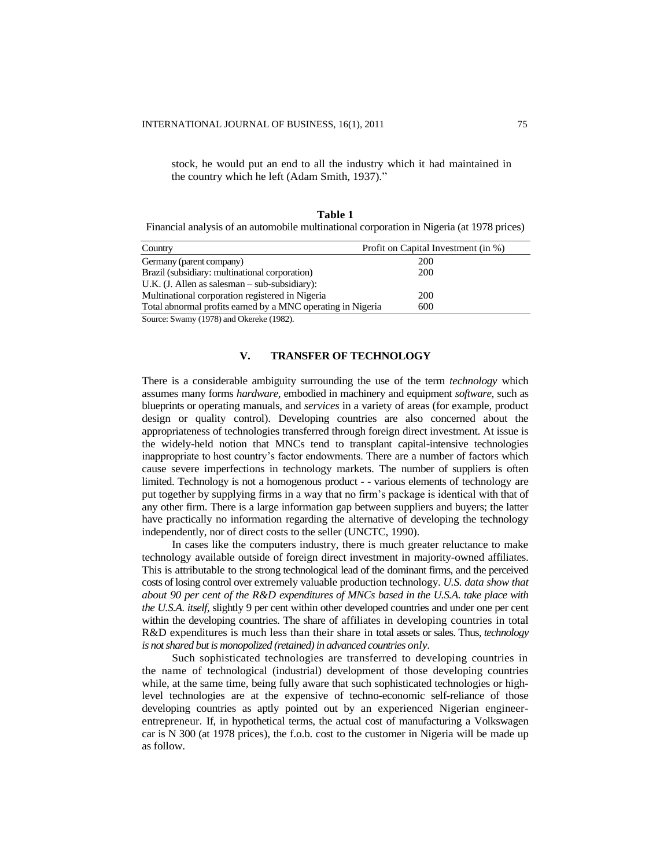stock, he would put an end to all the industry which it had maintained in the country which he left (Adam Smith, 1937)."

| Table 1                                                                                   |
|-------------------------------------------------------------------------------------------|
| Financial analysis of an automobile multinational corporation in Nigeria (at 1978 prices) |

| Country                                                     | Profit on Capital Investment (in %) |
|-------------------------------------------------------------|-------------------------------------|
| Germany (parent company)                                    | 200                                 |
| Brazil (subsidiary: multinational corporation)              | 200                                 |
| U.K. $(I.$ Allen as salesman $-$ sub-subsidiary):           |                                     |
| Multinational corporation registered in Nigeria             | 200                                 |
| Total abnormal profits earned by a MNC operating in Nigeria | 600                                 |
| $R_{\text{2}}$ (1070) = 1 Oleralis (1090)                   |                                     |

Source: Swamy (1978) and Okereke (1982).

# **V. TRANSFER OF TECHNOLOGY**

There is a considerable ambiguity surrounding the use of the term *technology* which assumes many forms *hardware,* embodied in machinery and equipment *software,* such as blueprints or operating manuals, and *services* in a variety of areas (for example, product design or quality control). Developing countries are also concerned about the appropriateness of technologies transferred through foreign direct investment. At issue is the widely-held notion that MNCs tend to transplant capital-intensive technologies inappropriate to host country"s factor endowments. There are a number of factors which cause severe imperfections in technology markets. The number of suppliers is often limited. Technology is not a homogenous product - - various elements of technology are put together by supplying firms in a way that no firm"s package is identical with that of any other firm. There is a large information gap between suppliers and buyers; the latter have practically no information regarding the alternative of developing the technology independently, nor of direct costs to the seller (UNCTC, 1990).

In cases like the computers industry, there is much greater reluctance to make technology available outside of foreign direct investment in majority-owned affiliates. This is attributable to the strong technological lead of the dominant firms, and the perceived costs of losing control over extremely valuable production technology. *U.S. data show that about 90 per cent of the R&D expenditures of MNCs based in the U.S.A. take place with the U.S.A. itself,* slightly 9 per cent within other developed countries and under one per cent within the developing countries. The share of affiliates in developing countries in total R&D expenditures is much less than their share in total assets or sales. Thus, *technology is not shared but is monopolized (retained) in advanced countries only.*

Such sophisticated technologies are transferred to developing countries in the name of technological (industrial) development of those developing countries while, at the same time, being fully aware that such sophisticated technologies or highlevel technologies are at the expensive of techno-economic self-reliance of those developing countries as aptly pointed out by an experienced Nigerian engineerentrepreneur. If, in hypothetical terms, the actual cost of manufacturing a Volkswagen car is N 300 (at 1978 prices), the f.o.b. cost to the customer in Nigeria will be made up as follow.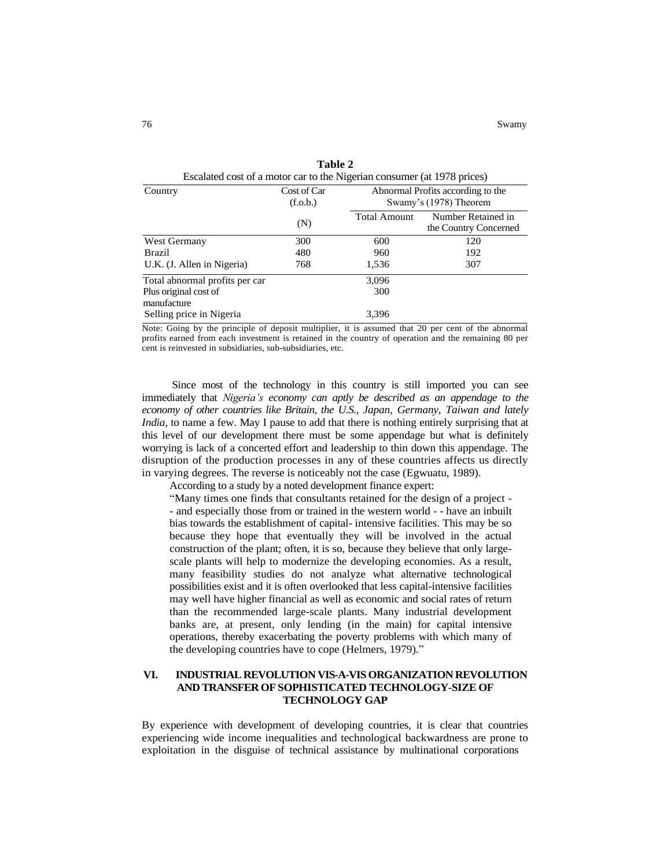| Escalated cost of a motor car to the Nigerian consumer (at 1978 prices) |                         |                     |                                                             |  |
|-------------------------------------------------------------------------|-------------------------|---------------------|-------------------------------------------------------------|--|
| Country                                                                 | Cost of Car<br>(f.o.b.) |                     | Abnormal Profits according to the<br>Swamy's (1978) Theorem |  |
|                                                                         | (N)                     | <b>Total Amount</b> | Number Retained in<br>the Country Concerned                 |  |
| West Germany                                                            | 300                     | 600                 | 120                                                         |  |
| Brazil                                                                  | 480                     | 960                 | 192                                                         |  |
| U.K. (J. Allen in Nigeria)                                              | 768                     | 1,536               | 307                                                         |  |
| Total abnormal profits per car                                          |                         | 3.096               |                                                             |  |
| Plus original cost of<br>manufacture                                    |                         | 300                 |                                                             |  |
| Selling price in Nigeria                                                |                         | 3.396               |                                                             |  |

| Table 2                                                                 |  |
|-------------------------------------------------------------------------|--|
| Escalated cost of a motor car to the Nigerian consumer (at 1978 prices) |  |

Note: Going by the principle of deposit multiplier, it is assumed that 20 per cent of the abnormal profits earned from each investment is retained in the country of operation and the remaining 80 per cent is reinvested in subsidiaries, sub-subsidiaries, etc.

Since most of the technology in this country is still imported you can see immediately that *Nigeria"s economy can aptly be described as an appendage to the economy of other countries like Britain, the U.S., Japan, Germany, Taiwan and lately India, to name a few. May I pause to add that there is nothing entirely surprising that at* this level of our development there must be some appendage but what is definitely worrying is lack of a concerted effort and leadership to thin down this appendage. The disruption of the production processes in any of these countries affects us directly in varying degrees. The reverse is noticeably not the case (Egwuatu, 1989).

According to a study by a noted development finance expert:

"Many times one finds that consultants retained for the design of a project - - and especially those from or trained in the western world - - have an inbuilt bias towards the establishment of capital- intensive facilities. This may be so because they hope that eventually they will be involved in the actual construction of the plant; often, it is so, because they believe that only largescale plants will help to modernize the developing economies. As a result, many feasibility studies do not analyze what alternative technological possibilities exist and it is often overlooked that less capital-intensive facilities may well have higher financial as well as economic and social rates of return than the recommended large-scale plants. Many industrial development banks are, at present, only lending (in the main) for capital intensive operations, thereby exacerbating the poverty problems with which many of the developing countries have to cope (Helmers, 1979)."

## **VI. INDUSTRIAL REVOLUTION VIS-A-VIS ORGANIZATION REVOLUTION AND TRANSFER OF SOPHISTICATED TECHNOLOGY-SIZE OF TECHNOLOGY GAP**

By experience with development of developing countries, it is clear that countries experiencing wide income inequalities and technological backwardness are prone to exploitation in the disguise of technical assistance by multinational corporations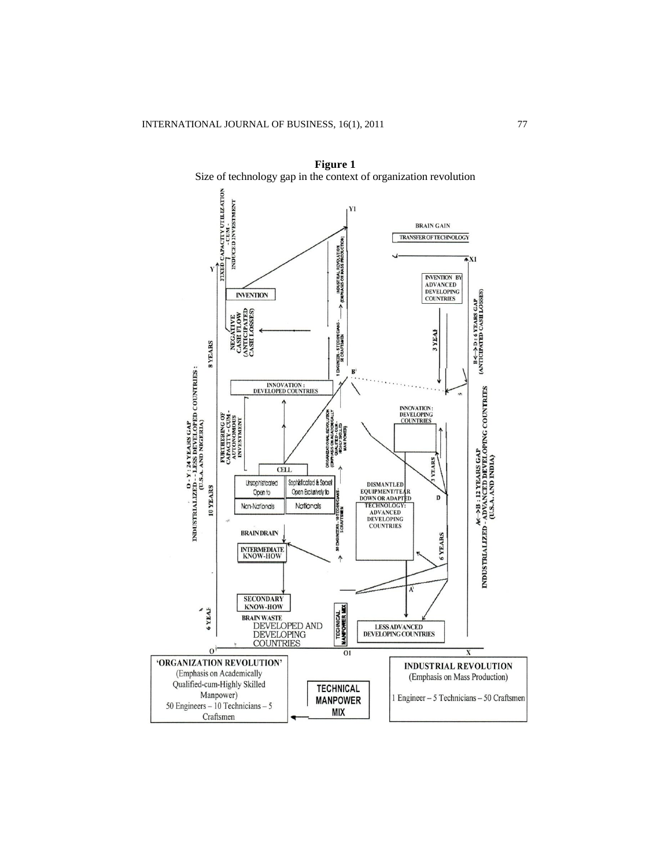

**Figure 1**  Size of technology gap in the context of organization revolution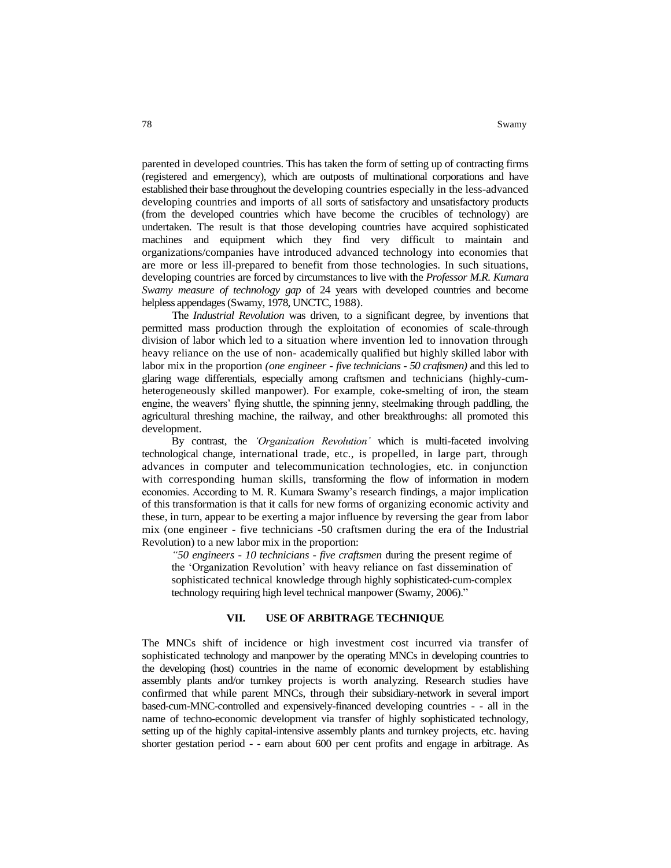parented in developed countries. This has taken the form of setting up of contracting firms (registered and emergency), which are outposts of multinational corporations and have established their base throughout the developing countries especially in the less-advanced developing countries and imports of all sorts of satisfactory and unsatisfactory products (from the developed countries which have become the crucibles of technology) are undertaken. The result is that those developing countries have acquired sophisticated machines and equipment which they find very difficult to maintain and organizations/companies have introduced advanced technology into economies that are more or less ill-prepared to benefit from those technologies. In such situations, developing countries are forced by circumstances to live with the *Professor M.R. Kumara Swamy measure of technology gap* of 24 years with developed countries and become helpless appendages (Swamy, 1978, UNCTC, 1988).

The *Industrial Revolution* was driven, to a significant degree, by inventions that permitted mass production through the exploitation of economies of scale-through division of labor which led to a situation where invention led to innovation through heavy reliance on the use of non- academically qualified but highly skilled labor with labor mix in the proportion *(one engineer - five technicians - 50 craftsmen)* and this led to glaring wage differentials, especially among craftsmen and technicians (highly-cumheterogeneously skilled manpower). For example, coke-smelting of iron, the steam engine, the weavers" flying shuttle, the spinning jenny, steelmaking through paddling, the agricultural threshing machine, the railway, and other breakthroughs: all promoted this development.

By contrast, the *"Organization Revolution"* which is multi-faceted involving technological change, international trade, etc., is propelled, in large part, through advances in computer and telecommunication technologies, etc. in conjunction with corresponding human skills, transforming the flow of information in modern economies. According to M. R. Kumara Swamy"s research findings, a major implication of this transformation is that it calls for new forms of organizing economic activity and these, in turn, appear to be exerting a major influence by reversing the gear from labor mix (one engineer - five technicians -50 craftsmen during the era of the Industrial Revolution) to a new labor mix in the proportion:

*"50 engineers - 10 technicians - five craftsmen* during the present regime of the "Organization Revolution" with heavy reliance on fast dissemination of sophisticated technical knowledge through highly sophisticated-cum-complex technology requiring high level technical manpower (Swamy, 2006)."

#### **VII. USE OF ARBITRAGE TECHNIQUE**

The MNCs shift of incidence or high investment cost incurred via transfer of sophisticated technology and manpower by the operating MNCs in developing countries to the developing (host) countries in the name of economic development by establishing assembly plants and/or turnkey projects is worth analyzing. Research studies have confirmed that while parent MNCs, through their subsidiary-network in several import based-cum-MNC-controlled and expensively-financed developing countries - - all in the name of techno-economic development via transfer of highly sophisticated technology, setting up of the highly capital-intensive assembly plants and turnkey projects, etc. having shorter gestation period - - earn about 600 per cent profits and engage in arbitrage. As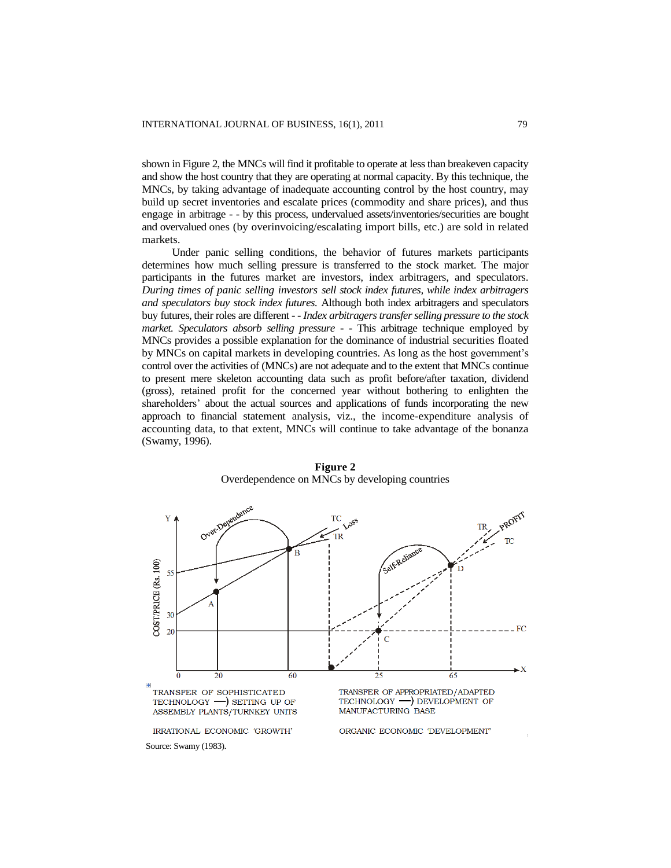shown in Figure 2, the MNCs will find it profitable to operate at less than breakeven capacity and show the host country that they are operating at normal capacity. By this technique, the MNCs, by taking advantage of inadequate accounting control by the host country, may build up secret inventories and escalate prices (commodity and share prices), and thus engage in arbitrage - - by this process, undervalued assets/inventories/securities are bought and overvalued ones (by overinvoicing/escalating import bills, etc.) are sold in related markets.

Under panic selling conditions, the behavior of futures markets participants determines how much selling pressure is transferred to the stock market. The major participants in the futures market are investors, index arbitragers, and speculators. *During times of panic selling investors sell stock index futures, while index arbitragers and speculators buy stock index futures.* Although both index arbitragers and speculators buy futures, their roles are different - - *Index arbitragers transfer selling pressure to the stock market. Speculators absorb selling pressure* **- -** This arbitrage technique employed by MNCs provides a possible explanation for the dominance of industrial securities floated by MNCs on capital markets in developing countries. As long as the host government"s control over the activities of (MNCs) are not adequate and to the extent that MNCs continue to present mere skeleton accounting data such as profit before/after taxation, dividend (gross), retained profit for the concerned year without bothering to enlighten the shareholders' about the actual sources and applications of funds incorporating the new approach to financial statement analysis, viz., the income-expenditure analysis of accounting data, to that extent, MNCs will continue to take advantage of the bonanza (Swamy, 1996).



**Figure 2**  Overdependence on MNCs by developing countries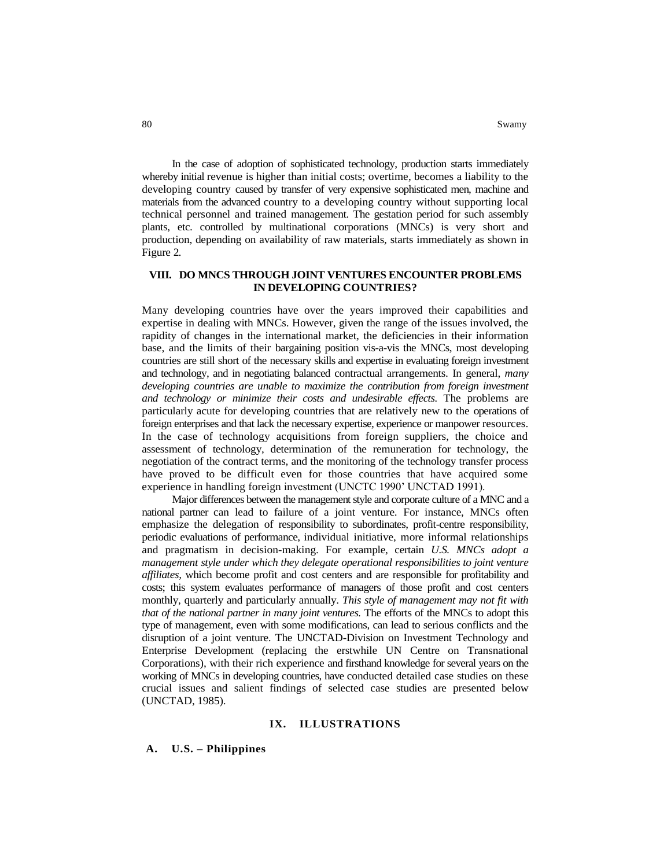In the case of adoption of sophisticated technology, production starts immediately whereby initial revenue is higher than initial costs; overtime, becomes a liability to the developing country caused by transfer of very expensive sophisticated men, machine and materials from the advanced country to a developing country without supporting local technical personnel and trained management. The gestation period for such assembly plants, etc. controlled by multinational corporations (MNCs) is very short and production, depending on availability of raw materials, starts immediately as shown in Figure 2*.*

# **VIII. DO MNCS THROUGH JOINT VENTURES ENCOUNTER PROBLEMS IN DEVELOPING COUNTRIES?**

Many developing countries have over the years improved their capabilities and expertise in dealing with MNCs. However, given the range of the issues involved, the rapidity of changes in the international market, the deficiencies in their information base, and the limits of their bargaining position vis-a-vis the MNCs, most developing countries are still short of the necessary skills and expertise in evaluating foreign investment and technology, and in negotiating balanced contractual arrangements. In general, *many developing countries are unable to maximize the contribution from foreign investment and technology or minimize their costs and undesirable effects.* The problems are particularly acute for developing countries that are relatively new to the operations of foreign enterprises and that lack the necessary expertise, experience or manpower resources. In the case of technology acquisitions from foreign suppliers, the choice and assessment of technology, determination of the remuneration for technology, the negotiation of the contract terms, and the monitoring of the technology transfer process have proved to be difficult even for those countries that have acquired some experience in handling foreign investment (UNCTC 1990" UNCTAD 1991).

Major differences between the management style and corporate culture of a MNC and a national partner can lead to failure of a joint venture. For instance, MNCs often emphasize the delegation of responsibility to subordinates, profit-centre responsibility, periodic evaluations of performance, individual initiative, more informal relationships and pragmatism in decision-making. For example, certain *U.S. MNCs adopt a management style under which they delegate operational responsibilities to joint venture affiliates,* which become profit and cost centers and are responsible for profitability and costs; this system evaluates performance of managers of those profit and cost centers monthly, quarterly and particularly annually. *This style of management may not fit with that of the national partner in many joint ventures.* The efforts of the MNCs to adopt this type of management, even with some modifications, can lead to serious conflicts and the disruption of a joint venture. The UNCTAD-Division on Investment Technology and Enterprise Development (replacing the erstwhile UN Centre on Transnational Corporations), with their rich experience and firsthand knowledge for several years on the working of MNCs in developing countries, have conducted detailed case studies on these crucial issues and salient findings of selected case studies are presented below (UNCTAD, 1985).

# **IX. ILLUSTRATIONS**

## **A. U.S. – Philippines**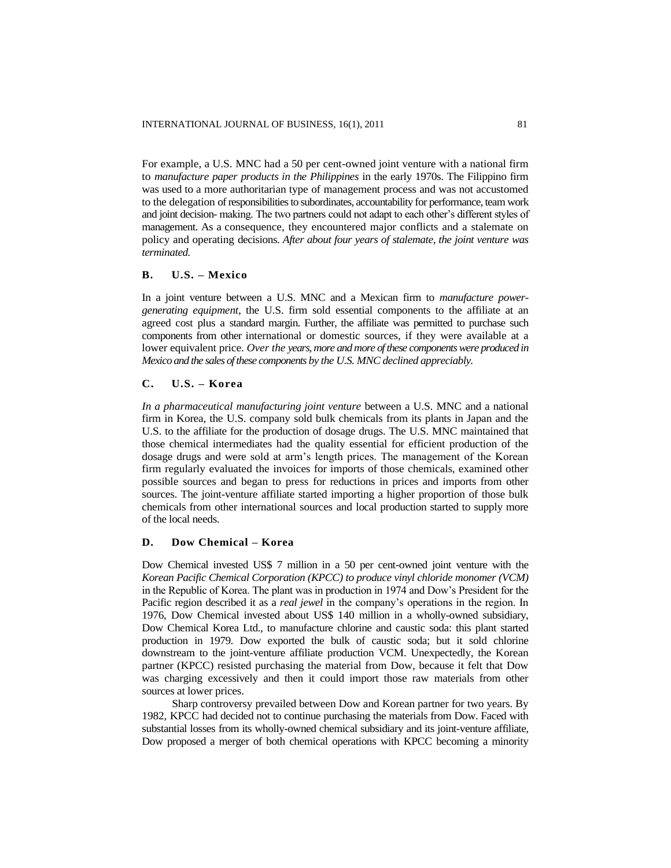For example, a U.S. MNC had a 50 per cent-owned joint venture with a national firm to *manufacture paper products in the Philippines* in the early 1970s. The Filippino firm was used to a more authoritarian type of management process and was not accustomed to the delegation of responsibilities to subordinates, accountability for performance, team work and joint decision- making. The two partners could not adapt to each other"s different styles of management. As a consequence, they encountered major conflicts and a stalemate on policy and operating decisions. *After about four years of stalemate, the joint venture was terminated.*

#### **B. U.S. – Mexico**

In a joint venture between a U.S. MNC and a Mexican firm to *manufacture powergenerating equipment,* the U.S. firm sold essential components to the affiliate at an agreed cost plus a standard margin. Further, the affiliate was permitted to purchase such components from other international or domestic sources, if they were available at a lower equivalent price. *Over the years, more and more of these components were produced in Mexico and the sales of these components by the U.S. MNC declined appreciably.*

#### **C. U.S. – Korea**

*In a pharmaceutical manufacturing joint venture* between a U.S. MNC and a national firm in Korea, the U.S. company sold bulk chemicals from its plants in Japan and the U.S. to the affiliate for the production of dosage drugs. The U.S. MNC maintained that those chemical intermediates had the quality essential for efficient production of the dosage drugs and were sold at arm"s length prices. The management of the Korean firm regularly evaluated the invoices for imports of those chemicals, examined other possible sources and began to press for reductions in prices and imports from other sources. The joint-venture affiliate started importing a higher proportion of those bulk chemicals from other international sources and local production started to supply more of the local needs.

# **D. Dow Chemical – Korea**

Dow Chemical invested US\$ 7 million in a 50 per cent-owned joint venture with the *Korean Pacific Chemical Corporation (KPCC) to produce vinyl chloride monomer (VCM)* in the Republic of Korea. The plant was in production in 1974 and Dow"s President for the Pacific region described it as a *real jewel* in the company's operations in the region. In 1976, Dow Chemical invested about US\$ 140 million in a wholly-owned subsidiary, Dow Chemical Korea Ltd., to manufacture chlorine and caustic soda: this plant started production in 1979. Dow exported the bulk of caustic soda; but it sold chlorine downstream to the joint-venture affiliate production VCM. Unexpectedly, the Korean partner (KPCC) resisted purchasing the material from Dow, because it felt that Dow was charging excessively and then it could import those raw materials from other sources at lower prices.

Sharp controversy prevailed between Dow and Korean partner for two years. By 1982, KPCC had decided not to continue purchasing the materials from Dow. Faced with substantial losses from its wholly-owned chemical subsidiary and its joint-venture affiliate, Dow proposed a merger of both chemical operations with KPCC becoming a minority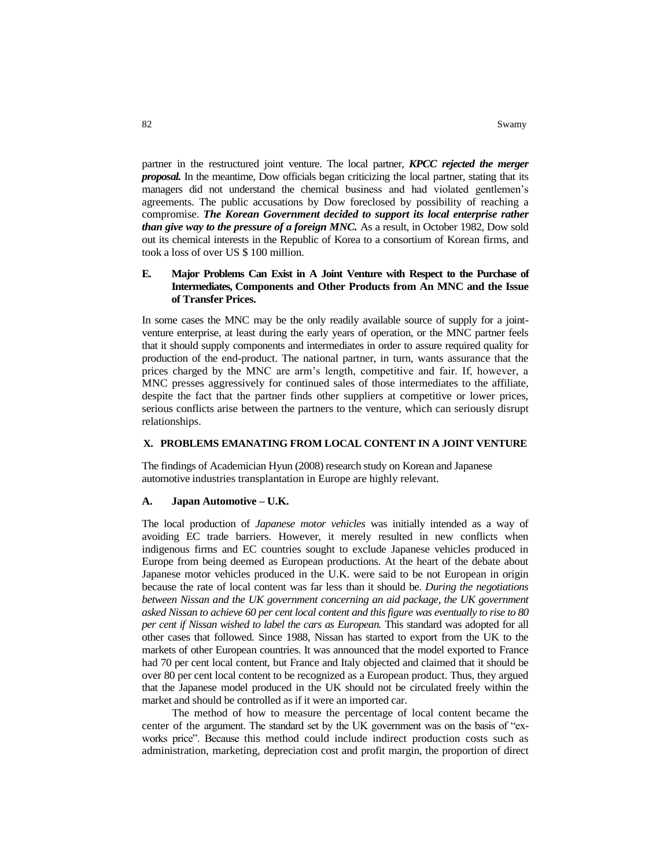partner in the restructured joint venture. The local partner, *KPCC rejected the merger proposal.* In the meantime, Dow officials began criticizing the local partner, stating that its managers did not understand the chemical business and had violated gentlemen"s agreements. The public accusations by Dow foreclosed by possibility of reaching a compromise. *The Korean Government decided to support its local enterprise rather than give way to the pressure of a foreign MNC*. As a result, in October 1982, Dow sold out its chemical interests in the Republic of Korea to a consortium of Korean firms, and took a loss of over US \$ 100 million.

# **E. Major Problems Can Exist in A Joint Venture with Respect to the Purchase of Intermediates, Components and Other Products from An MNC and the Issue of Transfer Prices.**

In some cases the MNC may be the only readily available source of supply for a jointventure enterprise, at least during the early years of operation, or the MNC partner feels that it should supply components and intermediates in order to assure required quality for production of the end-product. The national partner, in turn, wants assurance that the prices charged by the MNC are arm"s length, competitive and fair. If, however, a MNC presses aggressively for continued sales of those intermediates to the affiliate, despite the fact that the partner finds other suppliers at competitive or lower prices, serious conflicts arise between the partners to the venture, which can seriously disrupt relationships.

## **X. PROBLEMS EMANATING FROM LOCAL CONTENT IN A JOINT VENTURE**

The findings of Academician Hyun (2008) research study on Korean and Japanese automotive industries transplantation in Europe are highly relevant.

#### **A. Japan Automotive – U.K.**

The local production of *Japanese motor vehicles* was initially intended as a way of avoiding EC trade barriers. However, it merely resulted in new conflicts when indigenous firms and EC countries sought to exclude Japanese vehicles produced in Europe from being deemed as European productions. At the heart of the debate about Japanese motor vehicles produced in the U.K. were said to be not European in origin because the rate of local content was far less than it should be. *During the negotiations between Nissan and the UK government concerning an aid package, the UK government asked Nissan to achieve 60 per cent local content and this figure was eventually to rise to 80 per cent if Nissan wished to label the cars as European.* This standard was adopted for all other cases that followed. Since 1988, Nissan has started to export from the UK to the markets of other European countries. It was announced that the model exported to France had 70 per cent local content, but France and Italy objected and claimed that it should be over 80 per cent local content to be recognized as a European product. Thus, they argued that the Japanese model produced in the UK should not be circulated freely within the market and should be controlled as if it were an imported car.

The method of how to measure the percentage of local content became the center of the argument. The standard set by the UK government was on the basis of "exworks price". Because this method could include indirect production costs such as administration, marketing, depreciation cost and profit margin, the proportion of direct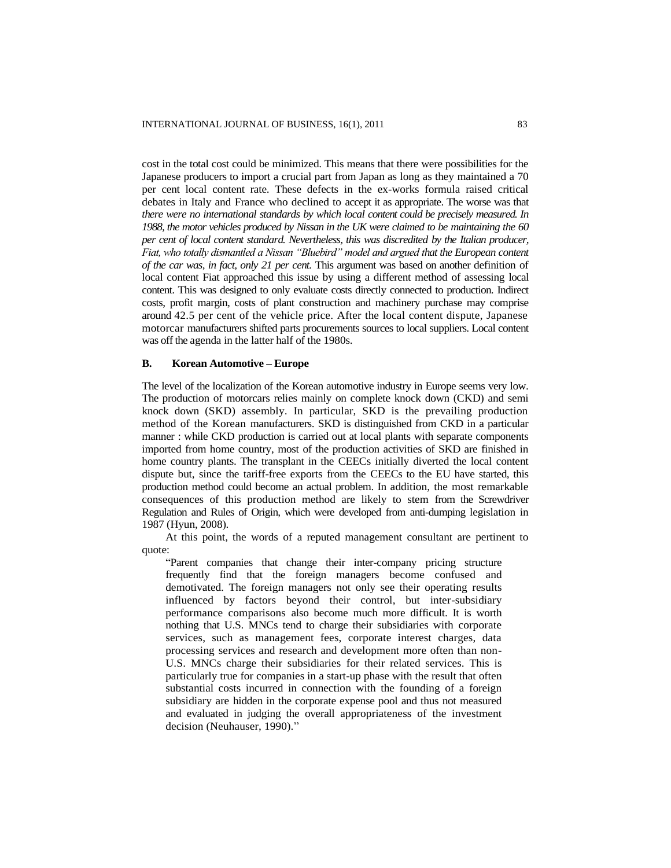cost in the total cost could be minimized. This means that there were possibilities for the Japanese producers to import a crucial part from Japan as long as they maintained a 70 per cent local content rate. These defects in the ex-works formula raised critical debates in Italy and France who declined to accept it as appropriate. The worse was that *there were no international standards by which local content could be precisely measured. In 1988, the motor vehicles produced by Nissan in the UK were claimed to be maintaining the 60 per cent of local content standard. Nevertheless, this was discredited by the Italian producer, Fiat, who totally dismantled a Nissan "Bluebird" model and argued that the European content of the car was, in fact, only 21 per cent.* This argument was based on another definition of local content Fiat approached this issue by using a different method of assessing local content. This was designed to only evaluate costs directly connected to production. Indirect costs, profit margin, costs of plant construction and machinery purchase may comprise around 42.5 per cent of the vehicle price. After the local content dispute, Japanese motorcar manufacturers shifted parts procurements sources to local suppliers. Local content was off the agenda in the latter half of the 1980s.

#### **B. Korean Automotive – Europe**

The level of the localization of the Korean automotive industry in Europe seems very low. The production of motorcars relies mainly on complete knock down (CKD) and semi knock down (SKD) assembly. In particular, SKD is the prevailing production method of the Korean manufacturers. SKD is distinguished from CKD in a particular manner : while CKD production is carried out at local plants with separate components imported from home country, most of the production activities of SKD are finished in home country plants. The transplant in the CEECs initially diverted the local content dispute but, since the tariff-free exports from the CEECs to the EU have started, this production method could become an actual problem. In addition, the most remarkable consequences of this production method are likely to stem from the Screwdriver Regulation and Rules of Origin, which were developed from anti-dumping legislation in 1987 (Hyun, 2008).

At this point, the words of a reputed management consultant are pertinent to quote:

"Parent companies that change their inter-company pricing structure frequently find that the foreign managers become confused and demotivated. The foreign managers not only see their operating results influenced by factors beyond their control, but inter-subsidiary performance comparisons also become much more difficult. It is worth nothing that U.S. MNCs tend to charge their subsidiaries with corporate services, such as management fees, corporate interest charges, data processing services and research and development more often than non-U.S. MNCs charge their subsidiaries for their related services. This is particularly true for companies in a start-up phase with the result that often substantial costs incurred in connection with the founding of a foreign subsidiary are hidden in the corporate expense pool and thus not measured and evaluated in judging the overall appropriateness of the investment decision (Neuhauser, 1990)."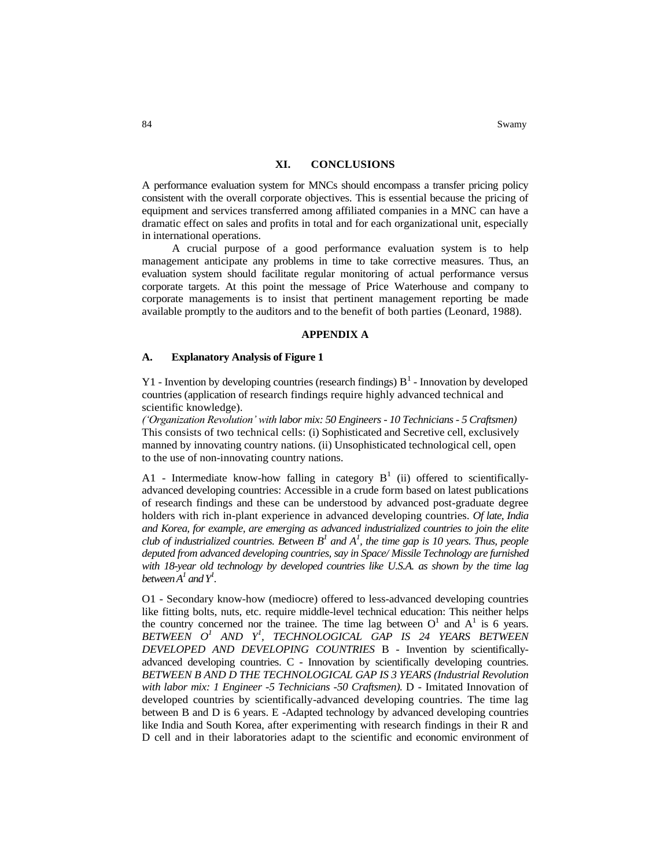## **XI. CONCLUSIONS**

A performance evaluation system for MNCs should encompass a transfer pricing policy consistent with the overall corporate objectives. This is essential because the pricing of equipment and services transferred among affiliated companies in a MNC can have a dramatic effect on sales and profits in total and for each organizational unit, especially in international operations.

A crucial purpose of a good performance evaluation system is to help management anticipate any problems in time to take corrective measures. Thus, an evaluation system should facilitate regular monitoring of actual performance versus corporate targets. At this point the message of Price Waterhouse and company to corporate managements is to insist that pertinent management reporting be made available promptly to the auditors and to the benefit of both parties (Leonard, 1988).

#### **APPENDIX A**

#### **A. Explanatory Analysis of Figure 1**

Y1 - Invention by developing countries (research findings)  $B<sup>1</sup>$  - Innovation by developed countries (application of research findings require highly advanced technical and scientific knowledge).

*("Organization Revolution" with labor mix: 50 Engineers - 10 Technicians - 5 Craftsmen)*  This consists of two technical cells: (i) Sophisticated and Secretive cell, exclusively manned by innovating country nations. (ii) Unsophisticated technological cell, open to the use of non-innovating country nations.

A1 - Intermediate know-how falling in category  $B^1$  (ii) offered to scientificallyadvanced developing countries: Accessible in a crude form based on latest publications of research findings and these can be understood by advanced post-graduate degree holders with rich in-plant experience in advanced developing countries. *Of late, India and Korea, for example, are emerging as advanced industrialized countries to join the elite club of industrialized countries. Between*  $B<sup>1</sup>$  *and*  $A<sup>1</sup>$ *, the time gap is 10 years. Thus, people deputed from advanced developing countries, say in Space/ Missile Technology are furnished with 18-year old technology by developed countries like U.S.A. as shown by the time lag*  between  $A<sup>1</sup>$  and  $Y<sup>1</sup>$ .

O1 - Secondary know-how (mediocre) offered to less-advanced developing countries like fitting bolts, nuts, etc. require middle-level technical education: This neither helps the country concerned nor the trainee. The time lag between  $O<sup>1</sup>$  and  $A<sup>1</sup>$  is 6 years. *BETWEEN O<sup>1</sup> AND Y<sup>1</sup> , TECHNOLOGICAL GAP IS 24 YEARS BETWEEN DEVELOPED AND DEVELOPING COUNTRIES* B - Invention by scientificallyadvanced developing countries. C - Innovation by scientifically developing countries. *BETWEEN B AND D THE TECHNOLOGICAL GAP IS 3 YEARS (Industrial Revolution with labor mix: 1 Engineer -5 Technicians -50 Craftsmen).* D - Imitated Innovation of developed countries by scientifically-advanced developing countries. The time lag between B and D is 6 years. E -Adapted technology by advanced developing countries like India and South Korea, after experimenting with research findings in their R and D cell and in their laboratories adapt to the scientific and economic environment of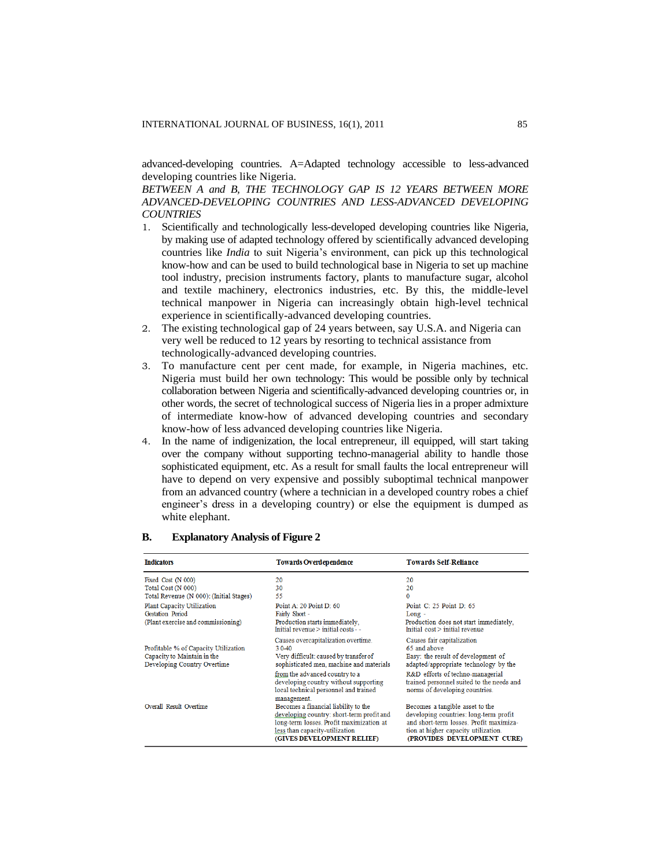advanced-developing countries. A=Adapted technology accessible to less-advanced developing countries like Nigeria.

*BETWEEN A and B, THE TECHNOLOGY GAP IS 12 YEARS BETWEEN MORE ADVANCED-DEVELOPING COUNTRIES AND LESS-ADVANCED DEVELOPING COUNTRIES*

- 1. Scientifically and technologically less-developed developing countries like Nigeria, by making use of adapted technology offered by scientifically advanced developing countries like *India* to suit Nigeria's environment, can pick up this technological know-how and can be used to build technological base in Nigeria to set up machine tool industry, precision instruments factory, plants to manufacture sugar, alcohol and textile machinery, electronics industries, etc. By this, the middle-level technical manpower in Nigeria can increasingly obtain high-level technical experience in scientifically-advanced developing countries.
- 2. The existing technological gap of 24 years between, say U.S.A. and Nigeria can very well be reduced to 12 years by resorting to technical assistance from technologically-advanced developing countries.
- 3. To manufacture cent per cent made, for example, in Nigeria machines, etc. Nigeria must build her own technology: This would be possible only by technical collaboration between Nigeria and scientifically-advanced developing countries or, in other words, the secret of technological success of Nigeria lies in a proper admixture of intermediate know-how of advanced developing countries and secondary know-how of less advanced developing countries like Nigeria.
- 4. In the name of indigenization, the local entrepreneur, ill equipped, will start taking over the company without supporting techno-managerial ability to handle those sophisticated equipment, etc. As a result for small faults the local entrepreneur will have to depend on very expensive and possibly suboptimal technical manpower from an advanced country (where a technician in a developed country robes a chief engineer's dress in a developing country) or else the equipment is dumped as white elephant.

| <b>Indicators</b>                                          | <b>Towards Overdependence</b>                                                                                                                                                                 | <b>Towards Self-Reliance</b>                                                                                                                                                                |
|------------------------------------------------------------|-----------------------------------------------------------------------------------------------------------------------------------------------------------------------------------------------|---------------------------------------------------------------------------------------------------------------------------------------------------------------------------------------------|
| Fixed Cost (N 000)                                         | 20                                                                                                                                                                                            | 20                                                                                                                                                                                          |
| Total Cost (N 000)                                         | 30                                                                                                                                                                                            | 20                                                                                                                                                                                          |
| Total Revenue (N 000): (Initial Stages)                    | 55                                                                                                                                                                                            | $\Omega$                                                                                                                                                                                    |
| <b>Plant Capacity Utilization</b>                          | Point A: $20$ Point D: $60$                                                                                                                                                                   | Point C: 25 Point D: 65                                                                                                                                                                     |
| <b>Gestation Period</b>                                    | Fairly Short -                                                                                                                                                                                | $Long -$                                                                                                                                                                                    |
| (Plant exercise and commissioning)                         | Production starts immediately,<br>$Initial revenue > initial costs -$                                                                                                                         | Production does not start immediately,<br>Initial $cost$ initial revenue                                                                                                                    |
|                                                            | Causes overcapitalization overtime.                                                                                                                                                           | Causes fair capitalization                                                                                                                                                                  |
| Profitable % of Capacity Utilization                       | $30-40$                                                                                                                                                                                       | 65 and above                                                                                                                                                                                |
| Capacity to Maintain in the<br>Developing Country Overtime | Very difficult: caused by transfer of<br>sophisticated men, machine and materials                                                                                                             | Easy: the result of development of<br>adapted/appropriate technology by the                                                                                                                 |
|                                                            | from the advanced country to a<br>developing country without supporting<br>local technical personnel and trained<br>management.                                                               | R&D efforts of techno-managerial<br>trained personnel suited to the needs and<br>norms of developing countries.                                                                             |
| <b>Overall Result Overtime</b>                             | Becomes a financial liability to the<br>developing country: short-term profit and<br>long-term losses. Profit maximization at<br>less than capacity-utilization<br>(GIVES DEVELOPMENT RELIEF) | Becomes a tangible asset to the<br>developing countries: long-term profit<br>and short-term losses. Profit maximiza-<br>tion at higher capacity utilization.<br>(PROVIDES DEVELOPMENT CURE) |

## **B. Explanatory Analysis of Figure 2**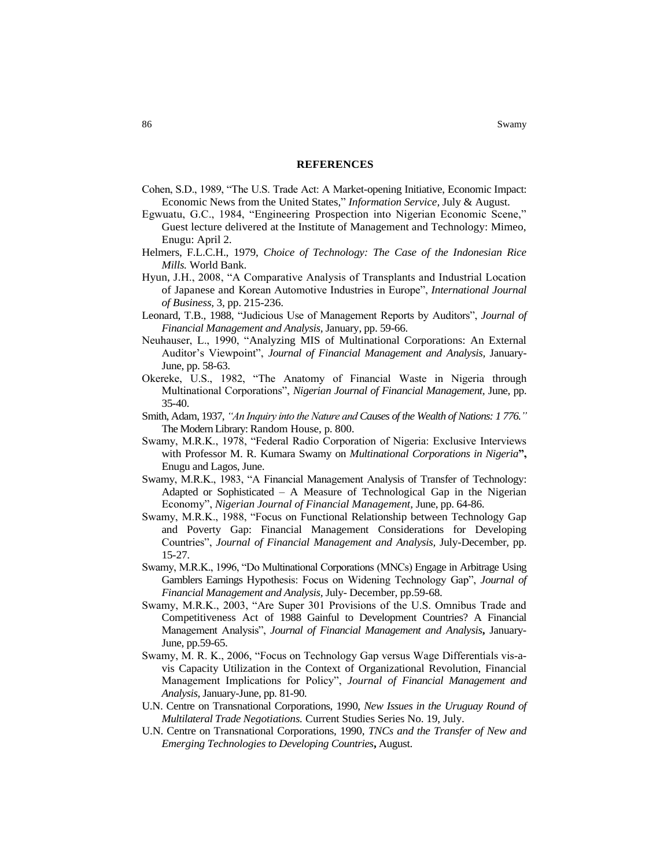#### **REFERENCES**

- Cohen, S.D., 1989, "The U.S. Trade Act: A Market-opening Initiative, Economic Impact: Economic News from the United States," *Information Service,* July & August.
- Egwuatu, G.C., 1984, "Engineering Prospection into Nigerian Economic Scene," Guest lecture delivered at the Institute of Management and Technology: Mimeo, Enugu: April 2.
- Helmers, F.L.C.H., 1979, *Choice of Technology: The Case of the Indonesian Rice Mills.* World Bank.
- Hyun, J.H., 2008, "A Comparative Analysis of Transplants and Industrial Location of Japanese and Korean Automotive Industries in Europe", *International Journal of Business,* 3, pp. 215-236.
- Leonard, T.B., 1988, "Judicious Use of Management Reports by Auditors", *Journal of Financial Management and Analysis,* January, pp. 59-66.
- Neuhauser, L., 1990, "Analyzing MIS of Multinational Corporations: An External Auditor"s Viewpoint", *Journal of Financial Management and Analysis,* January-June, pp. 58-63.
- Okereke, U.S., 1982, "The Anatomy of Financial Waste in Nigeria through Multinational Corporations", *Nigerian Journal of Financial Management,* June, pp. 35-40.
- Smith, Adam, 1937, *"An Inquiry into the Nature and Causes of the Wealth of Nations: 1 776."*  The Modern Library: Random House, p. 800.
- Swamy, M.R.K., 1978, "Federal Radio Corporation of Nigeria: Exclusive Interviews with Professor M. R. Kumara Swamy on *Multinational Corporations in Nigeria***",** Enugu and Lagos, June.
- Swamy, M.R.K., 1983, "A Financial Management Analysis of Transfer of Technology: Adapted or Sophisticated – A Measure of Technological Gap in the Nigerian Economy", *Nigerian Journal of Financial Management,* June, pp. 64-86.
- Swamy, M.R.K., 1988, "Focus on Functional Relationship between Technology Gap and Poverty Gap: Financial Management Considerations for Developing Countries", *Journal of Financial Management and Analysis,* July-December, pp. 15-27.
- Swamy, M.R.K., 1996, "Do Multinational Corporations (MNCs) Engage in Arbitrage Using Gamblers Earnings Hypothesis: Focus on Widening Technology Gap", *Journal of Financial Management and Analysis,* July- December, pp.59-68.
- Swamy, M.R.K., 2003, "Are Super 301 Provisions of the U.S. Omnibus Trade and Competitiveness Act of 1988 Gainful to Development Countries? A Financial Management Analysis", *Journal of Financial Management and Analysis***,** January-June, pp.59-65.
- Swamy, M. R. K., 2006, "Focus on Technology Gap versus Wage Differentials vis-avis Capacity Utilization in the Context of Organizational Revolution, Financial Management Implications for Policy", *Journal of Financial Management and Analysis,*January-June, pp. 81-90.
- U.N. Centre on Transnational Corporations, 1990, *New Issues in the Uruguay Round of Multilateral Trade Negotiations.* Current Studies Series No. 19, July.
- U.N. Centre on Transnational Corporations, 1990, *TNCs and the Transfer of New and Emerging Technologies to Developing Countries***,** August.